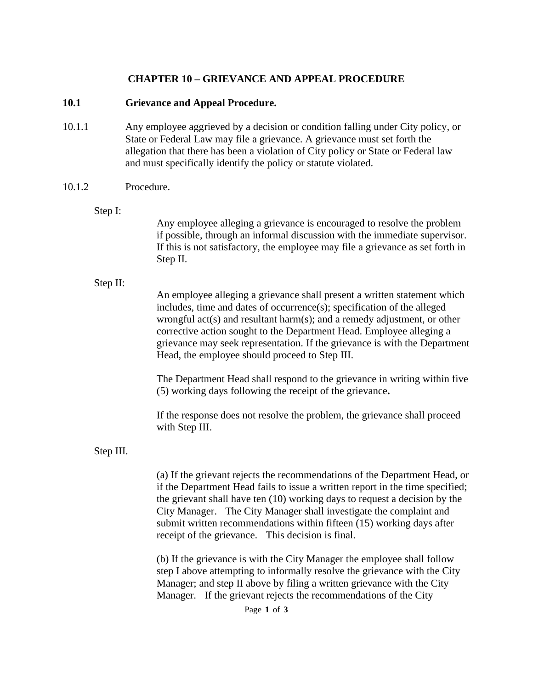### **CHAPTER 10 – GRIEVANCE AND APPEAL PROCEDURE**

#### **10.1 Grievance and Appeal Procedure.**

10.1.1 Any employee aggrieved by a decision or condition falling under City policy, or State or Federal Law may file a grievance. A grievance must set forth the allegation that there has been a violation of City policy or State or Federal law and must specifically identify the policy or statute violated.

#### 10.1.2 Procedure.

Step I:

Any employee alleging a grievance is encouraged to resolve the problem if possible, through an informal discussion with the immediate supervisor. If this is not satisfactory, the employee may file a grievance as set forth in Step II.

#### Step II:

An employee alleging a grievance shall present a written statement which includes, time and dates of occurrence(s); specification of the alleged wrongful act(s) and resultant harm(s); and a remedy adjustment, or other corrective action sought to the Department Head. Employee alleging a grievance may seek representation. If the grievance is with the Department Head, the employee should proceed to Step III.

The Department Head shall respond to the grievance in writing within five (5) working days following the receipt of the grievance**.**

If the response does not resolve the problem, the grievance shall proceed with Step III.

#### Step III.

(a) If the grievant rejects the recommendations of the Department Head, or if the Department Head fails to issue a written report in the time specified; the grievant shall have ten (10) working days to request a decision by the City Manager. The City Manager shall investigate the complaint and submit written recommendations within fifteen (15) working days after receipt of the grievance. This decision is final.

(b) If the grievance is with the City Manager the employee shall follow step I above attempting to informally resolve the grievance with the City Manager; and step II above by filing a written grievance with the City Manager. If the grievant rejects the recommendations of the City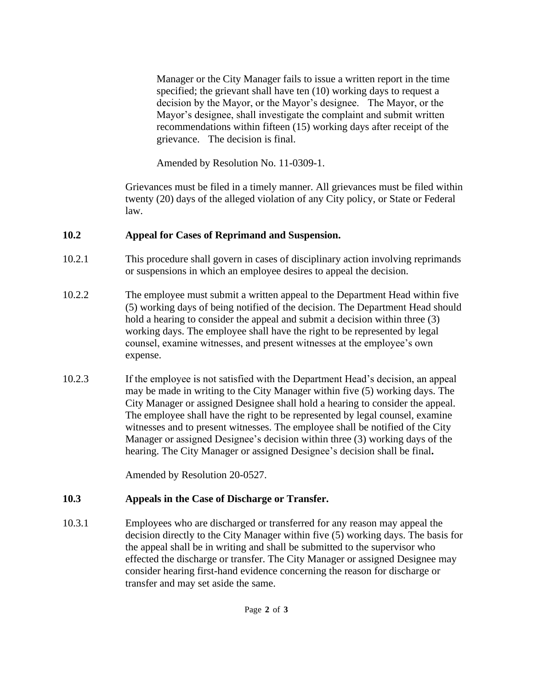Manager or the City Manager fails to issue a written report in the time specified; the grievant shall have ten (10) working days to request a decision by the Mayor, or the Mayor's designee. The Mayor, or the Mayor's designee, shall investigate the complaint and submit written recommendations within fifteen (15) working days after receipt of the grievance. The decision is final.

Amended by Resolution No. 11-0309-1.

Grievances must be filed in a timely manner. All grievances must be filed within twenty (20) days of the alleged violation of any City policy, or State or Federal law.

## **10.2 Appeal for Cases of Reprimand and Suspension.**

- 10.2.1 This procedure shall govern in cases of disciplinary action involving reprimands or suspensions in which an employee desires to appeal the decision.
- 10.2.2 The employee must submit a written appeal to the Department Head within five (5) working days of being notified of the decision. The Department Head should hold a hearing to consider the appeal and submit a decision within three (3) working days. The employee shall have the right to be represented by legal counsel, examine witnesses, and present witnesses at the employee's own expense.
- 10.2.3 If the employee is not satisfied with the Department Head's decision, an appeal may be made in writing to the City Manager within five (5) working days. The City Manager or assigned Designee shall hold a hearing to consider the appeal. The employee shall have the right to be represented by legal counsel, examine witnesses and to present witnesses. The employee shall be notified of the City Manager or assigned Designee's decision within three (3) working days of the hearing. The City Manager or assigned Designee's decision shall be final**.**

Amended by Resolution 20-0527.

# **10.3 Appeals in the Case of Discharge or Transfer.**

10.3.1 Employees who are discharged or transferred for any reason may appeal the decision directly to the City Manager within five (5) working days. The basis for the appeal shall be in writing and shall be submitted to the supervisor who effected the discharge or transfer. The City Manager or assigned Designee may consider hearing first-hand evidence concerning the reason for discharge or transfer and may set aside the same.